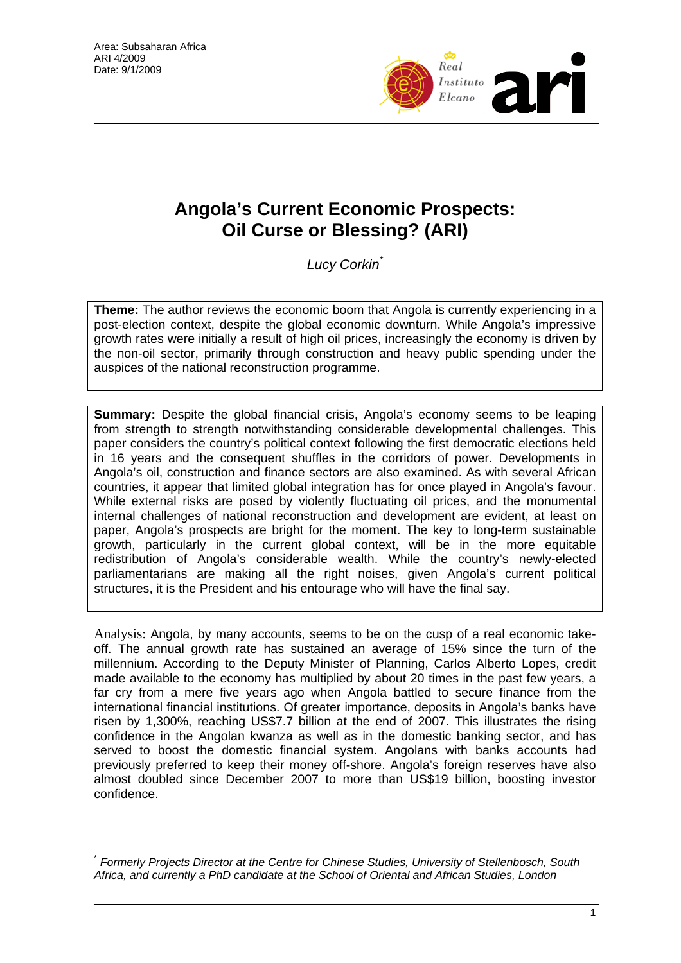

# **Angola's Current Economic Prospects: Oil Curse or Blessing? (ARI)**

*Lucy Corkin\**

**Theme:** The author reviews the economic boom that Angola is currently experiencing in a post-election context, despite the global economic downturn. While Angola's impressive growth rates were initially a result of high oil prices, increasingly the economy is driven by the non-oil sector, primarily through construction and heavy public spending under the auspices of the national reconstruction programme.

**Summary:** Despite the global financial crisis, Angola's economy seems to be leaping from strength to strength notwithstanding considerable developmental challenges. This paper considers the country's political context following the first democratic elections held in 16 years and the consequent shuffles in the corridors of power. Developments in Angola's oil, construction and finance sectors are also examined. As with several African countries, it appear that limited global integration has for once played in Angola's favour. While external risks are posed by violently fluctuating oil prices, and the monumental internal challenges of national reconstruction and development are evident, at least on paper, Angola's prospects are bright for the moment. The key to long-term sustainable growth, particularly in the current global context, will be in the more equitable redistribution of Angola's considerable wealth. While the country's newly-elected parliamentarians are making all the right noises, given Angola's current political structures, it is the President and his entourage who will have the final say.

Analysis: Angola, by many accounts, seems to be on the cusp of a real economic takeoff. The annual growth rate has sustained an average of 15% since the turn of the millennium. According to the Deputy Minister of Planning, Carlos Alberto Lopes, credit made available to the economy has multiplied by about 20 times in the past few years, a far cry from a mere five years ago when Angola battled to secure finance from the international financial institutions. Of greater importance, deposits in Angola's banks have risen by 1,300%, reaching US\$7.7 billion at the end of 2007. This illustrates the rising confidence in the Angolan kwanza as well as in the domestic banking sector, and has served to boost the domestic financial system. Angolans with banks accounts had previously preferred to keep their money off-shore. Angola's foreign reserves have also almost doubled since December 2007 to more than US\$19 billion, boosting investor confidence.

 $\overline{a}$ \* *Formerly Projects Director at the Centre for Chinese Studies, University of Stellenbosch, South Africa, and currently a PhD candidate at the School of Oriental and African Studies, London*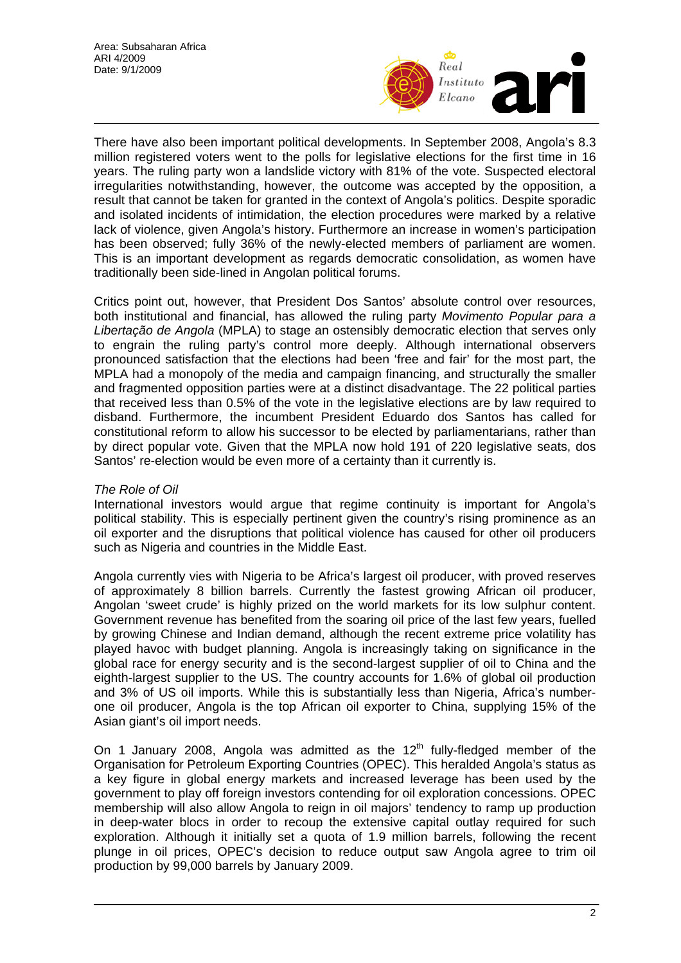

There have also been important political developments. In September 2008, Angola's 8.3 million registered voters went to the polls for legislative elections for the first time in 16 years. The ruling party won a landslide victory with 81% of the vote. Suspected electoral irregularities notwithstanding, however, the outcome was accepted by the opposition, a result that cannot be taken for granted in the context of Angola's politics. Despite sporadic and isolated incidents of intimidation, the election procedures were marked by a relative lack of violence, given Angola's history. Furthermore an increase in women's participation has been observed; fully 36% of the newly-elected members of parliament are women. This is an important development as regards democratic consolidation, as women have traditionally been side-lined in Angolan political forums.

Critics point out, however, that President Dos Santos' absolute control over resources, both institutional and financial, has allowed the ruling party *Movimento Popular para a Libertação de Angola* (MPLA) to stage an ostensibly democratic election that serves only to engrain the ruling party's control more deeply. Although international observers pronounced satisfaction that the elections had been 'free and fair' for the most part, the MPLA had a monopoly of the media and campaign financing, and structurally the smaller and fragmented opposition parties were at a distinct disadvantage. The 22 political parties that received less than 0.5% of the vote in the legislative elections are by law required to disband. Furthermore, the incumbent President Eduardo dos Santos has called for constitutional reform to allow his successor to be elected by parliamentarians, rather than by direct popular vote. Given that the MPLA now hold 191 of 220 legislative seats, dos Santos' re-election would be even more of a certainty than it currently is.

### *The Role of Oil*

International investors would argue that regime continuity is important for Angola's political stability. This is especially pertinent given the country's rising prominence as an oil exporter and the disruptions that political violence has caused for other oil producers such as Nigeria and countries in the Middle East.

Angola currently vies with Nigeria to be Africa's largest oil producer, with proved reserves of approximately 8 billion barrels. Currently the fastest growing African oil producer, Angolan 'sweet crude' is highly prized on the world markets for its low sulphur content. Government revenue has benefited from the soaring oil price of the last few years, fuelled by growing Chinese and Indian demand, although the recent extreme price volatility has played havoc with budget planning. Angola is increasingly taking on significance in the global race for energy security and is the second-largest supplier of oil to China and the eighth-largest supplier to the US. The country accounts for 1.6% of global oil production and 3% of US oil imports. While this is substantially less than Nigeria, Africa's numberone oil producer, Angola is the top African oil exporter to China, supplying 15% of the Asian giant's oil import needs.

On 1 January 2008, Angola was admitted as the  $12<sup>th</sup>$  fully-fledged member of the Organisation for Petroleum Exporting Countries (OPEC). This heralded Angola's status as a key figure in global energy markets and increased leverage has been used by the government to play off foreign investors contending for oil exploration concessions. OPEC membership will also allow Angola to reign in oil majors' tendency to ramp up production in deep-water blocs in order to recoup the extensive capital outlay required for such exploration. Although it initially set a quota of 1.9 million barrels, following the recent plunge in oil prices, OPEC's decision to reduce output saw Angola agree to trim oil production by 99,000 barrels by January 2009.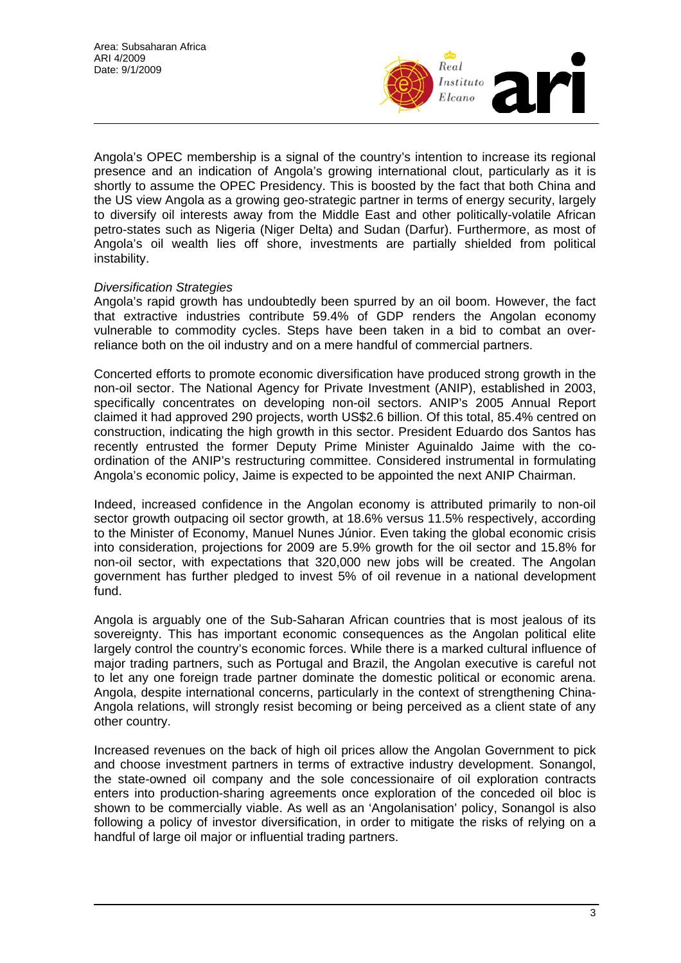

Angola's OPEC membership is a signal of the country's intention to increase its regional presence and an indication of Angola's growing international clout, particularly as it is shortly to assume the OPEC Presidency. This is boosted by the fact that both China and the US view Angola as a growing geo-strategic partner in terms of energy security, largely to diversify oil interests away from the Middle East and other politically-volatile African petro-states such as Nigeria (Niger Delta) and Sudan (Darfur). Furthermore, as most of Angola's oil wealth lies off shore, investments are partially shielded from political instability.

### *Diversification Strategies*

Angola's rapid growth has undoubtedly been spurred by an oil boom. However, the fact that extractive industries contribute 59.4% of GDP renders the Angolan economy vulnerable to commodity cycles. Steps have been taken in a bid to combat an overreliance both on the oil industry and on a mere handful of commercial partners.

Concerted efforts to promote economic diversification have produced strong growth in the non-oil sector. The National Agency for Private Investment (ANIP), established in 2003, specifically concentrates on developing non-oil sectors. ANIP's 2005 Annual Report claimed it had approved 290 projects, worth US\$2.6 billion. Of this total, 85.4% centred on construction, indicating the high growth in this sector. President Eduardo dos Santos has recently entrusted the former Deputy Prime Minister Aguinaldo Jaime with the coordination of the ANIP's restructuring committee. Considered instrumental in formulating Angola's economic policy, Jaime is expected to be appointed the next ANIP Chairman.

Indeed, increased confidence in the Angolan economy is attributed primarily to non-oil sector growth outpacing oil sector growth, at 18.6% versus 11.5% respectively, according to the Minister of Economy, Manuel Nunes Júnior. Even taking the global economic crisis into consideration, projections for 2009 are 5.9% growth for the oil sector and 15.8% for non-oil sector, with expectations that 320,000 new jobs will be created. The Angolan government has further pledged to invest 5% of oil revenue in a national development fund.

Angola is arguably one of the Sub-Saharan African countries that is most jealous of its sovereignty. This has important economic consequences as the Angolan political elite largely control the country's economic forces. While there is a marked cultural influence of major trading partners, such as Portugal and Brazil, the Angolan executive is careful not to let any one foreign trade partner dominate the domestic political or economic arena. Angola, despite international concerns, particularly in the context of strengthening China-Angola relations, will strongly resist becoming or being perceived as a client state of any other country.

Increased revenues on the back of high oil prices allow the Angolan Government to pick and choose investment partners in terms of extractive industry development. Sonangol, the state-owned oil company and the sole concessionaire of oil exploration contracts enters into production-sharing agreements once exploration of the conceded oil bloc is shown to be commercially viable. As well as an 'Angolanisation' policy, Sonangol is also following a policy of investor diversification, in order to mitigate the risks of relying on a handful of large oil major or influential trading partners.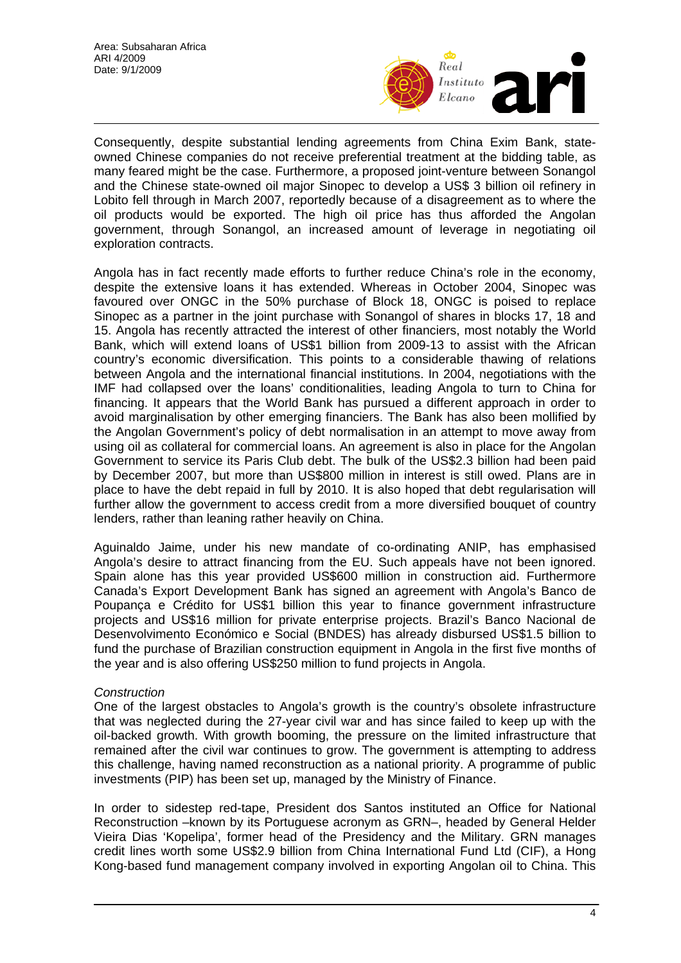

Consequently, despite substantial lending agreements from China Exim Bank, stateowned Chinese companies do not receive preferential treatment at the bidding table, as many feared might be the case. Furthermore, a proposed joint-venture between Sonangol and the Chinese state-owned oil major Sinopec to develop a US\$ 3 billion oil refinery in Lobito fell through in March 2007, reportedly because of a disagreement as to where the oil products would be exported. The high oil price has thus afforded the Angolan government, through Sonangol, an increased amount of leverage in negotiating oil exploration contracts.

Angola has in fact recently made efforts to further reduce China's role in the economy, despite the extensive loans it has extended. Whereas in October 2004, Sinopec was favoured over ONGC in the 50% purchase of Block 18, ONGC is poised to replace Sinopec as a partner in the joint purchase with Sonangol of shares in blocks 17, 18 and 15. Angola has recently attracted the interest of other financiers, most notably the World Bank, which will extend loans of US\$1 billion from 2009-13 to assist with the African country's economic diversification. This points to a considerable thawing of relations between Angola and the international financial institutions. In 2004, negotiations with the IMF had collapsed over the loans' conditionalities, leading Angola to turn to China for financing. It appears that the World Bank has pursued a different approach in order to avoid marginalisation by other emerging financiers. The Bank has also been mollified by the Angolan Government's policy of debt normalisation in an attempt to move away from using oil as collateral for commercial loans. An agreement is also in place for the Angolan Government to service its Paris Club debt. The bulk of the US\$2.3 billion had been paid by December 2007, but more than US\$800 million in interest is still owed. Plans are in place to have the debt repaid in full by 2010. It is also hoped that debt regularisation will further allow the government to access credit from a more diversified bouquet of country lenders, rather than leaning rather heavily on China.

Aguinaldo Jaime, under his new mandate of co-ordinating ANIP, has emphasised Angola's desire to attract financing from the EU. Such appeals have not been ignored. Spain alone has this year provided US\$600 million in construction aid. Furthermore Canada's Export Development Bank has signed an agreement with Angola's Banco de Poupança e Crédito for US\$1 billion this year to finance government infrastructure projects and US\$16 million for private enterprise projects. Brazil's Banco Nacional de Desenvolvimento Económico e Social (BNDES) has already disbursed US\$1.5 billion to fund the purchase of Brazilian construction equipment in Angola in the first five months of the year and is also offering US\$250 million to fund projects in Angola.

### *Construction*

One of the largest obstacles to Angola's growth is the country's obsolete infrastructure that was neglected during the 27-year civil war and has since failed to keep up with the oil-backed growth. With growth booming, the pressure on the limited infrastructure that remained after the civil war continues to grow. The government is attempting to address this challenge, having named reconstruction as a national priority. A programme of public investments (PIP) has been set up, managed by the Ministry of Finance.

In order to sidestep red-tape, President dos Santos instituted an Office for National Reconstruction –known by its Portuguese acronym as GRN–, headed by General Helder Vieira Dias 'Kopelipa', former head of the Presidency and the Military. GRN manages credit lines worth some US\$2.9 billion from China International Fund Ltd (CIF), a Hong Kong-based fund management company involved in exporting Angolan oil to China. This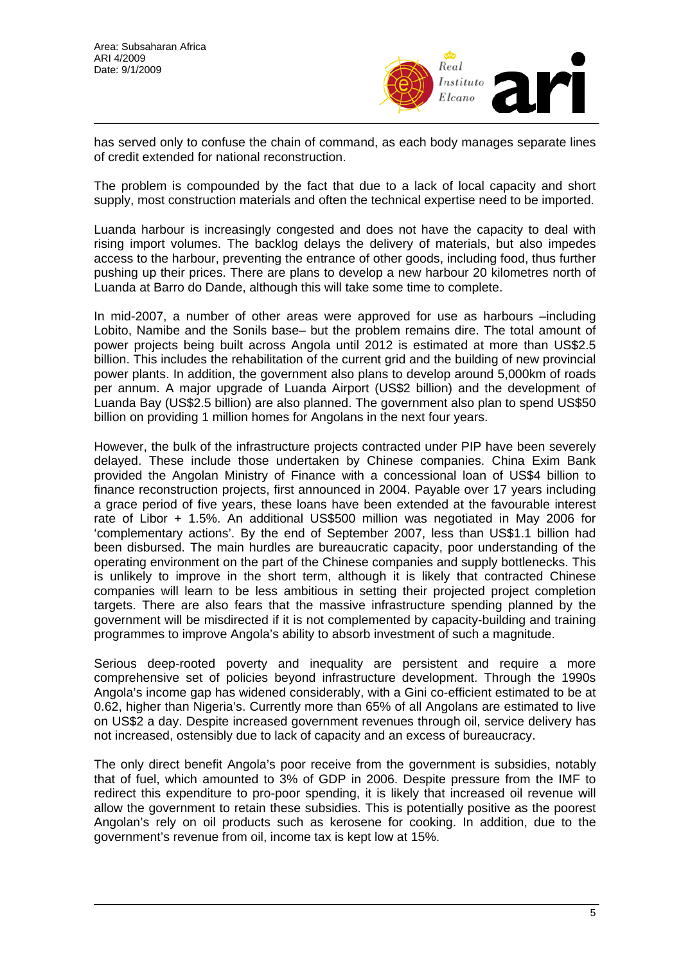

has served only to confuse the chain of command, as each body manages separate lines of credit extended for national reconstruction.

The problem is compounded by the fact that due to a lack of local capacity and short supply, most construction materials and often the technical expertise need to be imported.

Luanda harbour is increasingly congested and does not have the capacity to deal with rising import volumes. The backlog delays the delivery of materials, but also impedes access to the harbour, preventing the entrance of other goods, including food, thus further pushing up their prices. There are plans to develop a new harbour 20 kilometres north of Luanda at Barro do Dande, although this will take some time to complete.

In mid-2007, a number of other areas were approved for use as harbours –including Lobito, Namibe and the Sonils base– but the problem remains dire. The total amount of power projects being built across Angola until 2012 is estimated at more than US\$2.5 billion. This includes the rehabilitation of the current grid and the building of new provincial power plants. In addition, the government also plans to develop around 5,000km of roads per annum. A major upgrade of Luanda Airport (US\$2 billion) and the development of Luanda Bay (US\$2.5 billion) are also planned. The government also plan to spend US\$50 billion on providing 1 million homes for Angolans in the next four years.

However, the bulk of the infrastructure projects contracted under PIP have been severely delayed. These include those undertaken by Chinese companies. China Exim Bank provided the Angolan Ministry of Finance with a concessional loan of US\$4 billion to finance reconstruction projects, first announced in 2004. Payable over 17 years including a grace period of five years, these loans have been extended at the favourable interest rate of Libor + 1.5%. An additional US\$500 million was negotiated in May 2006 for 'complementary actions'. By the end of September 2007, less than US\$1.1 billion had been disbursed. The main hurdles are bureaucratic capacity, poor understanding of the operating environment on the part of the Chinese companies and supply bottlenecks. This is unlikely to improve in the short term, although it is likely that contracted Chinese companies will learn to be less ambitious in setting their projected project completion targets. There are also fears that the massive infrastructure spending planned by the government will be misdirected if it is not complemented by capacity-building and training programmes to improve Angola's ability to absorb investment of such a magnitude.

Serious deep-rooted poverty and inequality are persistent and require a more comprehensive set of policies beyond infrastructure development. Through the 1990s Angola's income gap has widened considerably, with a Gini co-efficient estimated to be at 0.62, higher than Nigeria's. Currently more than 65% of all Angolans are estimated to live on US\$2 a day. Despite increased government revenues through oil, service delivery has not increased, ostensibly due to lack of capacity and an excess of bureaucracy.

The only direct benefit Angola's poor receive from the government is subsidies, notably that of fuel, which amounted to 3% of GDP in 2006. Despite pressure from the IMF to redirect this expenditure to pro-poor spending, it is likely that increased oil revenue will allow the government to retain these subsidies. This is potentially positive as the poorest Angolan's rely on oil products such as kerosene for cooking. In addition, due to the government's revenue from oil, income tax is kept low at 15%.